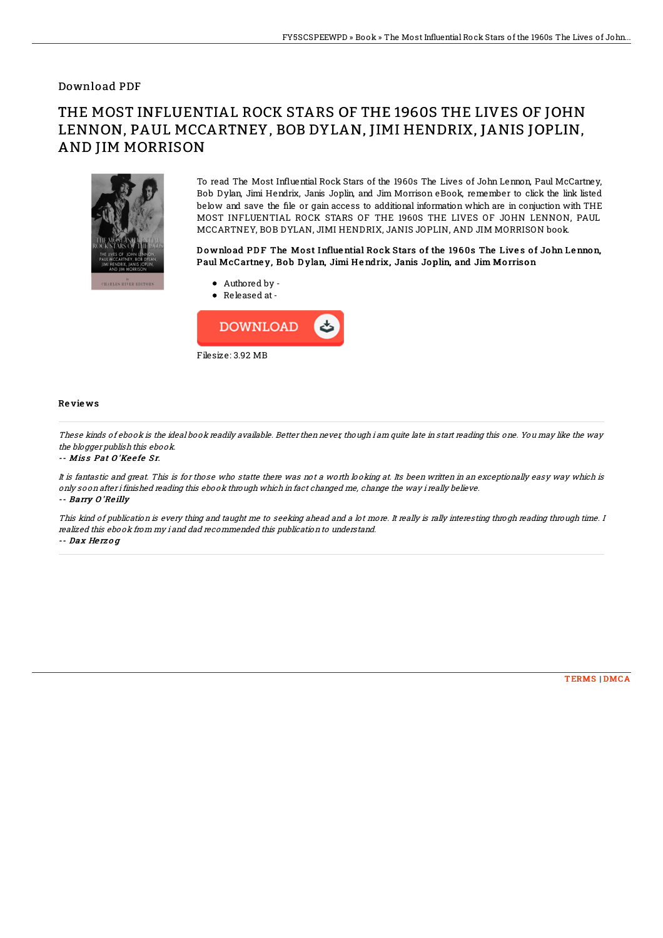### Download PDF

# THE MOST INFLUENTIAL ROCK STARS OF THE 1960S THE LIVES OF JOHN LENNON, PAUL MCCARTNEY, BOB DYLAN, JIMI HENDRIX, JANIS JOPLIN, AND JIM MORRISON



To read The Most Influential Rock Stars of the 1960s The Lives of John Lennon, Paul McCartney, Bob Dylan, Jimi Hendrix, Janis Joplin, and Jim Morrison eBook, remember to click the link listed below and save the 1le or gain access to additional information which are in conjuction with THE MOST INFLUENTIAL ROCK STARS OF THE 1960S THE LIVES OF JOHN LENNON, PAUL MCCARTNEY, BOB DYLAN, JIMI HENDRIX, JANIS JOPLIN, AND JIM MORRISON book.

#### Download PDF The Most Influential Rock Stars of the 1960s The Lives of John Lennon, Paul McCartney, Bob Dylan, Jimi Hendrix, Janis Joplin, and Jim Morrison



Released at-



#### Re vie ws

These kinds of ebook is the ideal book readily available. Better then never, though i am quite late in start reading this one. You may like the way the blogger publish this ebook.

-- Miss Pat O'Keefe Sr.

It is fantastic and great. This is for those who statte there was not <sup>a</sup> worth looking at. Its been written in an exceptionally easy way which is only soon after i finished reading this ebook through which in fact changed me, change the way i really believe. -- Barry O'Reilly

This kind of publication is every thing and taught me to seeking ahead and <sup>a</sup> lot more. It really is rally interesting throgh reading through time. I realized this ebook from my i and dad recommended this publication to understand. -- Dax He rz <sup>o</sup> g